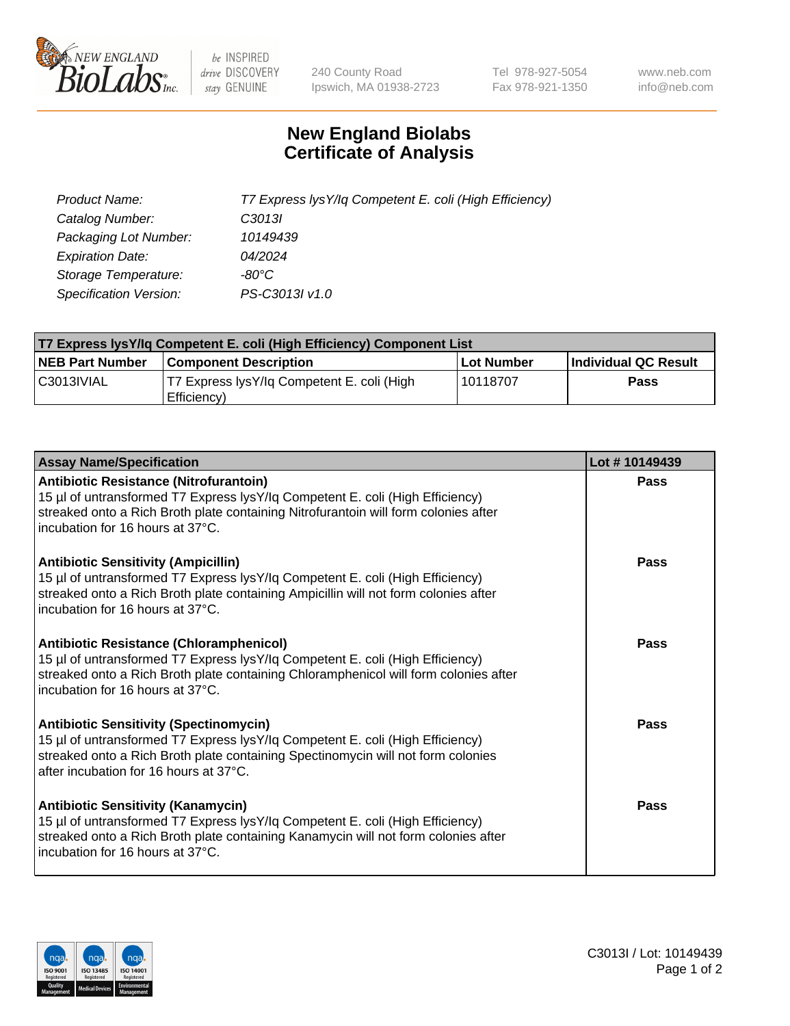

 $be$  INSPIRED drive DISCOVERY stay GENUINE

240 County Road Ipswich, MA 01938-2723 Tel 978-927-5054 Fax 978-921-1350 www.neb.com info@neb.com

## **New England Biolabs Certificate of Analysis**

| Product Name:           | T7 Express lysY/lq Competent E. coli (High Efficiency) |
|-------------------------|--------------------------------------------------------|
| Catalog Number:         | C <sub>3013</sub>                                      |
| Packaging Lot Number:   | 10149439                                               |
| <b>Expiration Date:</b> | 04/2024                                                |
| Storage Temperature:    | $-80^{\circ}$ C                                        |
| Specification Version:  | PS-C3013I v1.0                                         |

| T7 Express lysY/lq Competent E. coli (High Efficiency) Component List |                                                           |            |                      |  |
|-----------------------------------------------------------------------|-----------------------------------------------------------|------------|----------------------|--|
| <b>NEB Part Number</b>                                                | <b>Component Description</b>                              | Lot Number | Individual QC Result |  |
| C3013IVIAL                                                            | T7 Express lysY/lg Competent E. coli (High<br>Efficiency) | l 10118707 | <b>Pass</b>          |  |

| <b>Assay Name/Specification</b>                                                                                                                                                                                                                              | Lot #10149439 |
|--------------------------------------------------------------------------------------------------------------------------------------------------------------------------------------------------------------------------------------------------------------|---------------|
| Antibiotic Resistance (Nitrofurantoin)<br>15 µl of untransformed T7 Express lysY/lq Competent E. coli (High Efficiency)<br>streaked onto a Rich Broth plate containing Nitrofurantoin will form colonies after<br>incubation for 16 hours at 37°C.           | Pass          |
| <b>Antibiotic Sensitivity (Ampicillin)</b><br>15 µl of untransformed T7 Express lysY/lq Competent E. coli (High Efficiency)<br>streaked onto a Rich Broth plate containing Ampicillin will not form colonies after<br>incubation for 16 hours at 37°C.       | Pass          |
| Antibiotic Resistance (Chloramphenicol)<br>15 µl of untransformed T7 Express lysY/lq Competent E. coli (High Efficiency)<br>streaked onto a Rich Broth plate containing Chloramphenicol will form colonies after<br>Incubation for 16 hours at 37°C.         | <b>Pass</b>   |
| <b>Antibiotic Sensitivity (Spectinomycin)</b><br>15 µl of untransformed T7 Express lysY/lq Competent E. coli (High Efficiency)<br>streaked onto a Rich Broth plate containing Spectinomycin will not form colonies<br>after incubation for 16 hours at 37°C. | Pass          |
| <b>Antibiotic Sensitivity (Kanamycin)</b><br>15 µl of untransformed T7 Express lysY/lq Competent E. coli (High Efficiency)<br>streaked onto a Rich Broth plate containing Kanamycin will not form colonies after<br>l incubation for 16 hours at 37°C.       | Pass          |